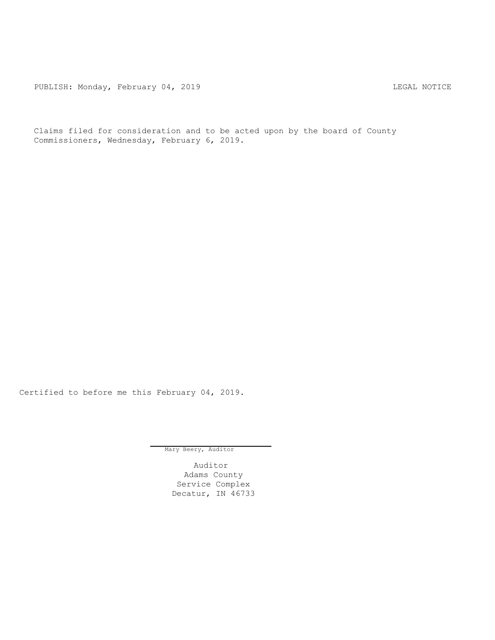PUBLISH: Monday, February 04, 2019 CHA CHANGE CONSTRUCTED THE LEGAL NOTICE

Claims filed for consideration and to be acted upon by the board of County Commissioners, Wednesday, February 6, 2019.

Certified to before me this February 04, 2019.

Mary Beery, Auditor

Auditor Adams County Service Complex Decatur, IN 46733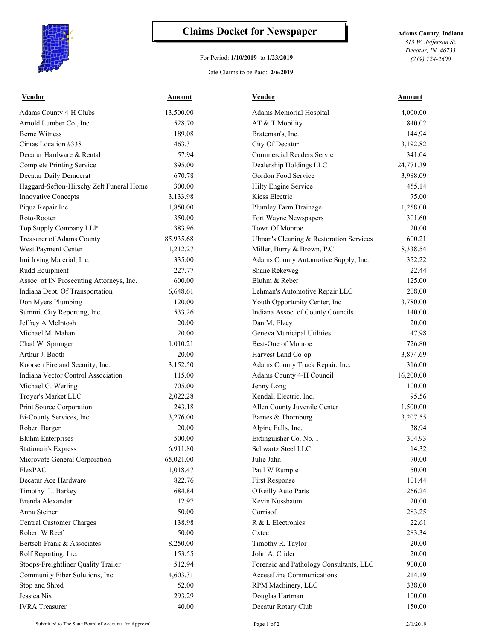

## **Claims Docket for Newspaper Adams County, Indiana**

## For Period: **1/10/2019** to **1/23/2019**

*313 W. Jefferson St. Decatur, IN 46733 (219) 724-2600*

Date Claims to be Paid: **2/6/2019**

| <u>Vendor</u>                                                          | <b>Amount</b>      | <u>Vendor</u>                                                        | <u>Amount</u>    |
|------------------------------------------------------------------------|--------------------|----------------------------------------------------------------------|------------------|
| Adams County 4-H Clubs                                                 | 13,500.00          | Adams Memorial Hospital                                              | 4,000.00         |
| Arnold Lumber Co., Inc.                                                | 528.70             | AT & T Mobility                                                      | 840.02           |
| <b>Berne Witness</b>                                                   | 189.08             | Brateman's, Inc.                                                     | 144.94           |
| Cintas Location #338                                                   | 463.31             | City Of Decatur                                                      | 3,192.82         |
| Decatur Hardware & Rental                                              | 57.94              | Commercial Readers Servic                                            | 341.04           |
| <b>Complete Printing Service</b>                                       | 895.00             | Dealership Holdings LLC                                              | 24,771.39        |
| Decatur Daily Democrat                                                 | 670.78             | Gordon Food Service                                                  | 3,988.09         |
| Haggard-Sefton-Hirschy Zelt Funeral Home                               | 300.00             | Hilty Engine Service                                                 | 455.14           |
| Innovative Concepts                                                    | 3,133.98           | Kiess Electric                                                       | 75.00            |
| Piqua Repair Inc.                                                      | 1,850.00           | Plumley Farm Drainage                                                | 1,258.00         |
| Roto-Rooter                                                            | 350.00             | Fort Wayne Newspapers                                                | 301.60           |
| Top Supply Company LLP                                                 | 383.96             | Town Of Monroe                                                       | 20.00            |
| Treasurer of Adams County                                              | 85,935.68          | Ulman's Cleaning & Restoration Services                              | 600.21           |
| West Payment Center                                                    | 1,212.27           | Miller, Burry & Brown, P.C.                                          | 8,338.54         |
| Imi Irving Material, Inc.                                              | 335.00             | Adams County Automotive Supply, Inc.                                 | 352.22           |
| Rudd Equipment                                                         | 227.77             | Shane Rekeweg                                                        | 22.44            |
| Assoc. of IN Prosecuting Attorneys, Inc.                               | 600.00             | Bluhm & Reber                                                        | 125.00           |
| Indiana Dept. Of Transportation                                        | 6,648.61           | Lehman's Automotive Repair LLC                                       | 208.00           |
| Don Myers Plumbing                                                     | 120.00             | Youth Opportunity Center, Inc                                        | 3,780.00         |
| Summit City Reporting, Inc.                                            | 533.26             | Indiana Assoc. of County Councils                                    | 140.00           |
| Jeffrey A McIntosh                                                     | 20.00              | Dan M. Elzey                                                         | 20.00            |
| Michael M. Mahan                                                       | 20.00              | Geneva Municipal Utilities                                           | 47.98            |
| Chad W. Sprunger                                                       | 1,010.21           | Best-One of Monroe                                                   | 726.80           |
| Arthur J. Booth                                                        | 20.00              | Harvest Land Co-op                                                   | 3,874.69         |
| Koorsen Fire and Security, Inc.                                        | 3,152.50           | Adams County Truck Repair, Inc.                                      | 316.00           |
| Indiana Vector Control Association                                     | 115.00             | Adams County 4-H Council                                             | 16,200.00        |
| Michael G. Werling                                                     | 705.00             | Jenny Long                                                           | 100.00           |
| Troyer's Market LLC                                                    | 2,022.28           | Kendall Electric, Inc.                                               | 95.56            |
| Print Source Corporation                                               | 243.18             | Allen County Juvenile Center                                         | 1,500.00         |
| Bi-County Services, Inc                                                | 3,276.00           | Barnes & Thornburg                                                   | 3,207.55         |
| Robert Barger                                                          | 20.00              | Alpine Falls, Inc.                                                   | 38.94            |
| <b>Bluhm Enterprises</b>                                               | 500.00             | Extinguisher Co. No. 1                                               | 304.93           |
| <b>Stationair's Express</b>                                            | 6,911.80           | Schwartz Steel LLC                                                   | 14.32            |
| Microvote General Corporation                                          | 65,021.00          | Julie Jahn                                                           | 70.00            |
| FlexPAC                                                                | 1,018.47           | Paul W Rumple                                                        | 50.00            |
| Decatur Ace Hardware                                                   | 822.76             | First Response                                                       | 101.44           |
| Timothy L. Barkey                                                      | 684.84             | O'Reilly Auto Parts                                                  | 266.24           |
| Brenda Alexander                                                       | 12.97              | Kevin Nussbaum                                                       | 20.00            |
| Anna Steiner                                                           | 50.00              | Corrisoft                                                            | 283.25           |
| Central Customer Charges                                               | 138.98             | R & L Electronics                                                    | 22.61            |
| Robert W Reef                                                          | 50.00              | Cxtec                                                                | 283.34           |
| Bertsch-Frank & Associates                                             | 8,250.00           | Timothy R. Taylor                                                    | 20.00            |
| Rolf Reporting, Inc.                                                   | 153.55             | John A. Crider                                                       | 20.00            |
|                                                                        |                    |                                                                      |                  |
| Stoops-Freightliner Quality Trailer<br>Community Fiber Solutions, Inc. | 512.94<br>4,603.31 | Forensic and Pathology Consultants, LLC<br>AccessLine Communications | 900.00<br>214.19 |
|                                                                        | 52.00              |                                                                      |                  |
| Stop and Shred                                                         |                    | RPM Machinery, LLC                                                   | 338.00           |
| Jessica Nix                                                            | 293.29             | Douglas Hartman                                                      | 100.00           |
| <b>IVRA</b> Treasurer                                                  | 40.00              | Decatur Rotary Club                                                  | 150.00           |